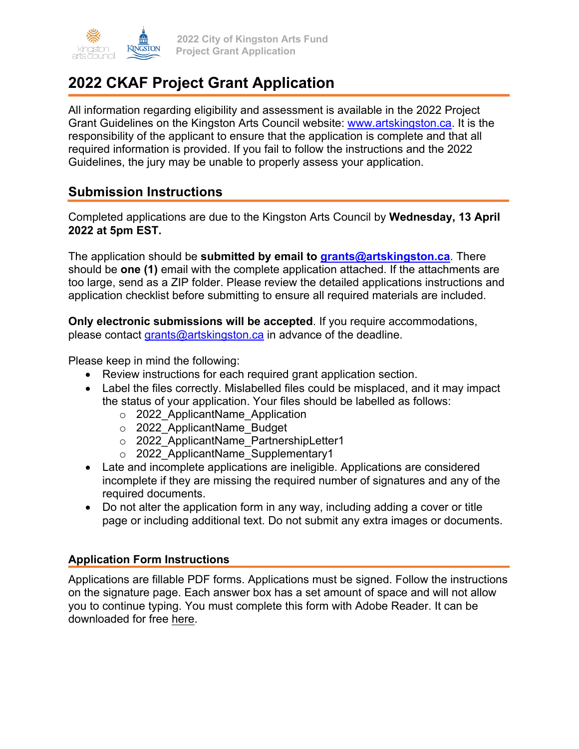

# **2022 CKAF Project Grant Application**

All information regarding eligibility and assessment is available in the 2022 Project Grant Guidelines on the Kingston Arts Council website: www.artskingston.ca. It is the responsibility of the applicant to ensure that the application is complete and that all required information is provided. If you fail to follow the instructions and the 2022 Guidelines, the jury may be unable to properly assess your application.

### **Submission Instructions**

Completed applications are due to the Kingston Arts Council by **Wednesday, 13 April 2022 at 5pm EST.**

The application should be **submitted by email to grants@artskingston.ca**. There should be **one (1)** email with the complete application attached. If the attachments are too large, send as a ZIP folder. Please review the detailed applications instructions and application checklist before submitting to ensure all required materials are included.

**Only electronic submissions will be accepted**. If you require accommodations, please contact grants@artskingston.ca in advance of the deadline.

Please keep in mind the following:

- Review instructions for each required grant application section.
- Label the files correctly. Mislabelled files could be misplaced, and it may impact the status of your application. Your files should be labelled as follows:
	- o 2022\_ApplicantName\_Application
	- o 2022\_ApplicantName\_Budget
	- o 2022 ApplicantName PartnershipLetter1
	- o 2022 ApplicantName Supplementary1
- Late and incomplete applications are ineligible. Applications are considered incomplete if they are missing the required number of signatures and any of the required documents.
- Do not alter the application form in any way, including adding a cover or title page or including additional text. Do not submit any extra images or documents.

### **Application Form Instructions**

Applications are fillable PDF forms. Applications must be signed. Follow the instructions on the signature page. Each answer box has a set amount of space and will not allow you to continue typing. You must complete this form with Adobe Reader. It can be downloaded for free [here.](https://get.adobe.com/reader/)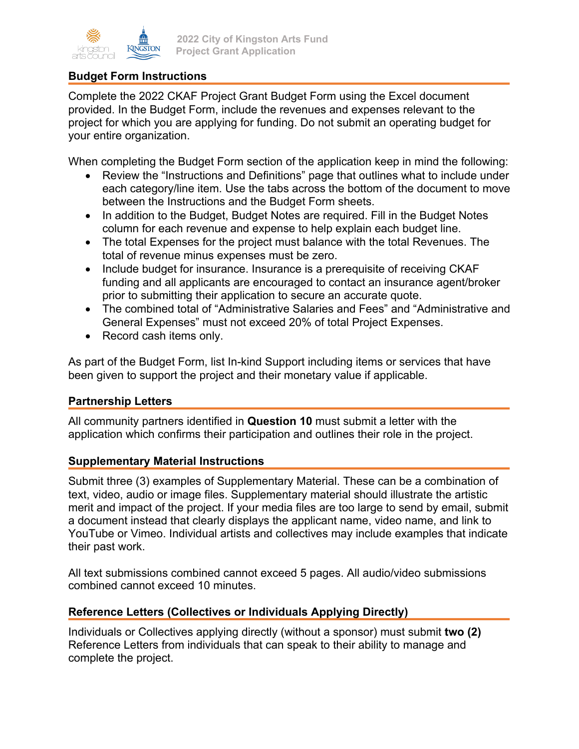### **Budget Form Instructions**

Complete the 2022 CKAF Project Grant Budget Form using the Excel document provided. In the Budget Form, include the revenues and expenses relevant to the project for which you are applying for funding. Do not submit an operating budget for your entire organization.

When completing the Budget Form section of the application keep in mind the following:

- Review the "Instructions and Definitions" page that outlines what to include under each category/line item. Use the tabs across the bottom of the document to move between the Instructions and the Budget Form sheets.
- In addition to the Budget, Budget Notes are required. Fill in the Budget Notes column for each revenue and expense to help explain each budget line.
- The total Expenses for the project must balance with the total Revenues. The total of revenue minus expenses must be zero.
- Include budget for insurance. Insurance is a prerequisite of receiving CKAF funding and all applicants are encouraged to contact an insurance agent/broker prior to submitting their application to secure an accurate quote.
- The combined total of "Administrative Salaries and Fees" and "Administrative and General Expenses" must not exceed 20% of total Project Expenses.
- Record cash items only.

As part of the Budget Form, list In-kind Support including items or services that have been given to support the project and their monetary value if applicable.

#### **Partnership Letters**

All community partners identified in **Question 10** must submit a letter with the application which confirms their participation and outlines their role in the project.

#### **Supplementary Material Instructions**

Submit three (3) examples of Supplementary Material. These can be a combination of text, video, audio or image files. Supplementary material should illustrate the artistic merit and impact of the project. If your media files are too large to send by email, submit a document instead that clearly displays the applicant name, video name, and link to YouTube or Vimeo. Individual artists and collectives may include examples that indicate their past work.

All text submissions combined cannot exceed 5 pages. All audio/video submissions combined cannot exceed 10 minutes.

#### **Reference Letters (Collectives or Individuals Applying Directly)**

Individuals or Collectives applying directly (without a sponsor) must submit **two (2)** Reference Letters from individuals that can speak to their ability to manage and complete the project.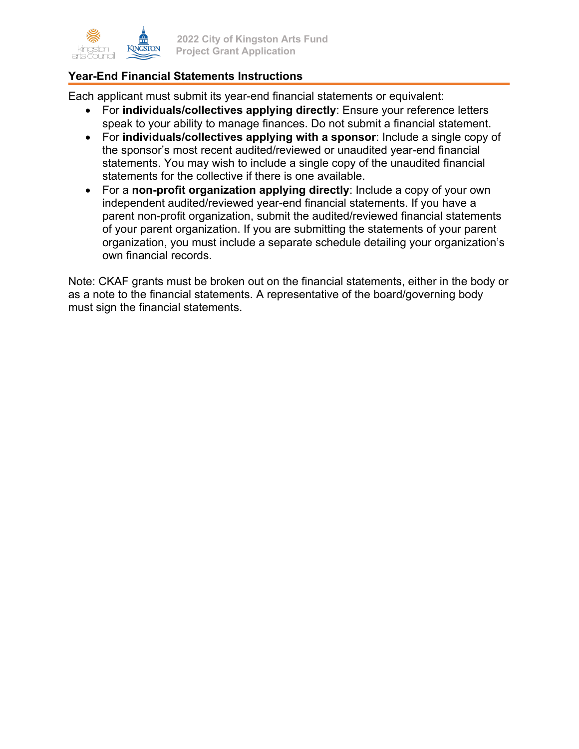

### **Year-End Financial Statements Instructions**

Each applicant must submit its year-end financial statements or equivalent:

- For **individuals/collectives applying directly**: Ensure your reference letters speak to your ability to manage finances. Do not submit a financial statement.
- For **individuals/collectives applying with a sponsor**: Include a single copy of the sponsor's most recent audited/reviewed or unaudited year-end financial statements. You may wish to include a single copy of the unaudited financial statements for the collective if there is one available.
- For a **non-profit organization applying directly**: Include a copy of your own independent audited/reviewed year-end financial statements. If you have a parent non-profit organization, submit the audited/reviewed financial statements of your parent organization. If you are submitting the statements of your parent organization, you must include a separate schedule detailing your organization's own financial records.

Note: CKAF grants must be broken out on the financial statements, either in the body or as a note to the financial statements. A representative of the board/governing body must sign the financial statements.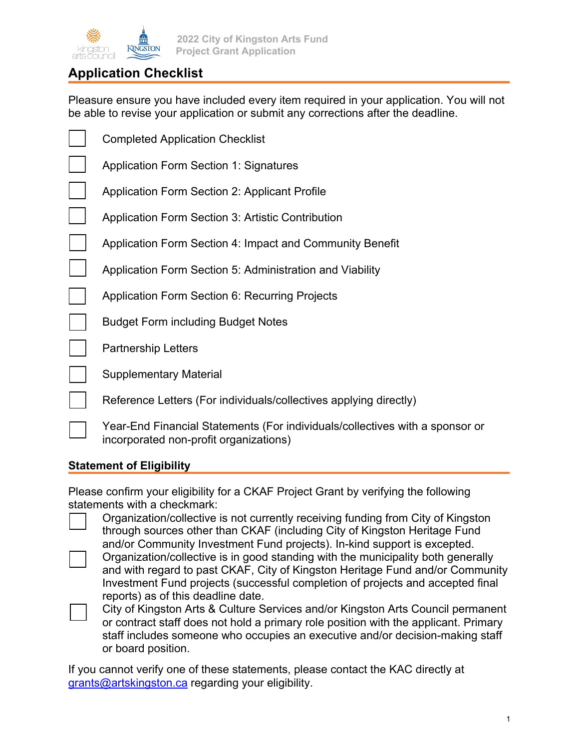

# **Application Checklist**

Pleasure ensure you have included every item required in your application. You will not be able to revise your application or submit any corrections after the deadline.

| <b>Completed Application Checklist</b>                                                 |
|----------------------------------------------------------------------------------------|
| <b>Application Form Section 1: Signatures</b>                                          |
| <b>Application Form Section 2: Applicant Profile</b>                                   |
| <b>Application Form Section 3: Artistic Contribution</b>                               |
| Application Form Section 4: Impact and Community Benefit                               |
| Application Form Section 5: Administration and Viability                               |
| <b>Application Form Section 6: Recurring Projects</b>                                  |
| <b>Budget Form including Budget Notes</b>                                              |
| <b>Partnership Letters</b>                                                             |
| <b>Supplementary Material</b>                                                          |
| Reference Letters (For individuals/collectives applying directly)                      |
| Year-End Financial Statements (For individuals/collectives with a sponsor or<br>incorn |

### **Statement of Eligibility**

incorporated non-profit organizations)

Please confirm your eligibility for a CKAF Project Grant by verifying the following statements with a checkmark:

- Organization/collective is not currently receiving funding from City of Kingston through sources other than CKAF (including City of Kingston Heritage Fund and/or Community Investment Fund projects). In-kind support is excepted.
- Organization/collective is in good standing with the municipality both generally and with regard to past CKAF, City of Kingston Heritage Fund and/or Community Investment Fund projects (successful completion of projects and accepted final reports) as of this deadline date.
- City of Kingston Arts & Culture Services and/or Kingston Arts Council permanent or contract staff does not hold a primary role position with the applicant. Primary staff includes someone who occupies an executive and/or decision-making staff or board position.

If you cannot verify one of these statements, please contact the KAC directly at grants@artskingston.ca regarding your eligibility.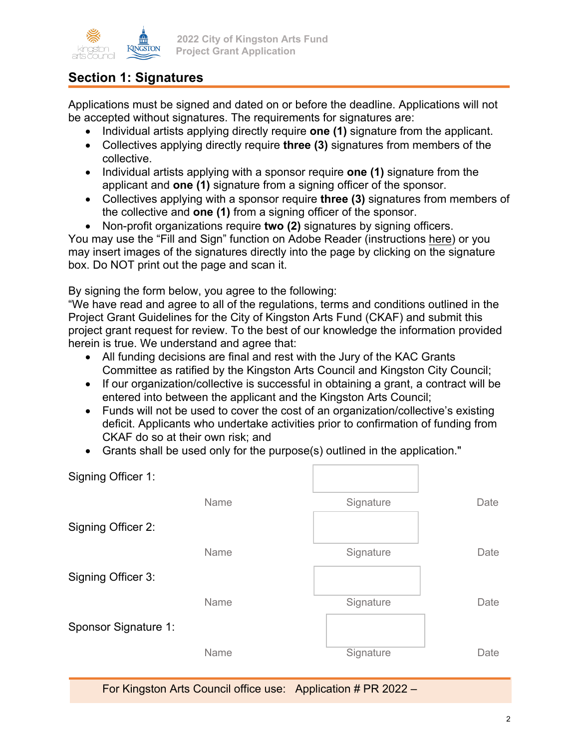

### **Section 1: Signatures**

Applications must be signed and dated on or before the deadline. Applications will not be accepted without signatures. The requirements for signatures are:

- Individual artists applying directly require **one (1)** signature from the applicant.
- Collectives applying directly require **three (3)** signatures from members of the collective.
- Individual artists applying with a sponsor require **one (1)** signature from the applicant and **one (1)** signature from a signing officer of the sponsor.
- Collectives applying with a sponsor require **three (3)** signatures from members of the collective and **one (1)** from a signing officer of the sponsor.
- Non-profit organizations require **two (2)** signatures by signing officers.

You may use the "Fill and Sign" function on Adobe Reader (instructions [here\)](https://helpx.adobe.com/acrobat/using/signing-pdfs.html) or you may insert images of the signatures directly into the page by clicking on the signature box. Do NOT print out the page and scan it.

By signing the form below, you agree to the following:

"We have read and agree to all of the regulations, terms and conditions outlined in the Project Grant Guidelines for the City of Kingston Arts Fund (CKAF) and submit this project grant request for review. To the best of our knowledge the information provided herein is true. We understand and agree that:

- All funding decisions are final and rest with the Jury of the KAC Grants Committee as ratified by the Kingston Arts Council and Kingston City Council;
- If our organization/collective is successful in obtaining a grant, a contract will be entered into between the applicant and the Kingston Arts Council;
- Funds will not be used to cover the cost of an organization/collective's existing deficit. Applicants who undertake activities prior to confirmation of funding from CKAF do so at their own risk; and
- Grants shall be used only for the purpose(s) outlined in the application."

| Signing Officer 1:   |      |           |      |
|----------------------|------|-----------|------|
|                      | Name | Signature | Date |
| Signing Officer 2:   |      |           |      |
|                      | Name | Signature | Date |
| Signing Officer 3:   |      |           |      |
|                      | Name | Signature | Date |
| Sponsor Signature 1: |      |           |      |
|                      | Name | Signature | Date |
|                      |      |           |      |

For Kingston Arts Council office use: Application # PR 2022 –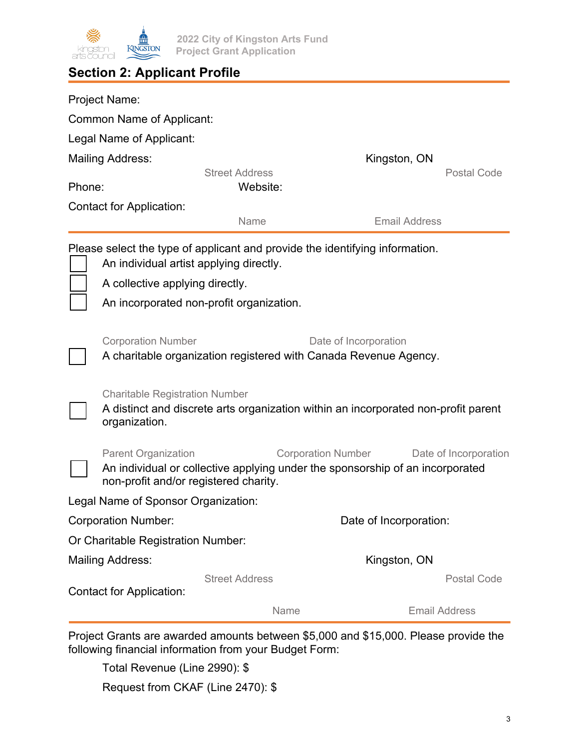

**2022 City of Kingston Arts Fund Project Grant Application**

# **Section 2: Applicant Profile**

|                                                                                                                                                                                                        | <b>Project Name:</b>                                                                                                                         |                                                                               |                           |                       |
|--------------------------------------------------------------------------------------------------------------------------------------------------------------------------------------------------------|----------------------------------------------------------------------------------------------------------------------------------------------|-------------------------------------------------------------------------------|---------------------------|-----------------------|
|                                                                                                                                                                                                        | <b>Common Name of Applicant:</b>                                                                                                             |                                                                               |                           |                       |
|                                                                                                                                                                                                        | Legal Name of Applicant:                                                                                                                     |                                                                               |                           |                       |
| <b>Mailing Address:</b>                                                                                                                                                                                |                                                                                                                                              |                                                                               | Kingston, ON              |                       |
| Phone:                                                                                                                                                                                                 |                                                                                                                                              | <b>Street Address</b><br>Website:                                             |                           | Postal Code           |
| <b>Contact for Application:</b>                                                                                                                                                                        |                                                                                                                                              |                                                                               |                           |                       |
|                                                                                                                                                                                                        |                                                                                                                                              | Name                                                                          | <b>Email Address</b>      |                       |
| Please select the type of applicant and provide the identifying information.<br>An individual artist applying directly.<br>A collective applying directly.<br>An incorporated non-profit organization. |                                                                                                                                              |                                                                               |                           |                       |
|                                                                                                                                                                                                        | <b>Corporation Number</b><br>Date of Incorporation<br>A charitable organization registered with Canada Revenue Agency.                       |                                                                               |                           |                       |
|                                                                                                                                                                                                        | <b>Charitable Registration Number</b><br>A distinct and discrete arts organization within an incorporated non-profit parent<br>organization. |                                                                               |                           |                       |
|                                                                                                                                                                                                        | <b>Parent Organization</b><br>non-profit and/or registered charity.                                                                          | An individual or collective applying under the sponsorship of an incorporated | <b>Corporation Number</b> | Date of Incorporation |
|                                                                                                                                                                                                        | Legal Name of Sponsor Organization:                                                                                                          |                                                                               |                           |                       |
| <b>Corporation Number:</b>                                                                                                                                                                             |                                                                                                                                              |                                                                               | Date of Incorporation:    |                       |
|                                                                                                                                                                                                        | Or Charitable Registration Number:                                                                                                           |                                                                               |                           |                       |
|                                                                                                                                                                                                        | <b>Mailing Address:</b>                                                                                                                      |                                                                               | Kingston, ON              |                       |
|                                                                                                                                                                                                        | <b>Contact for Application:</b>                                                                                                              | <b>Street Address</b>                                                         |                           | <b>Postal Code</b>    |
|                                                                                                                                                                                                        |                                                                                                                                              | Name                                                                          |                           | <b>Email Address</b>  |

Project Grants are awarded amounts between \$5,000 and \$15,000. Please provide the following financial information from your Budget Form:

Total Revenue (Line 2990): \$

Request from CKAF (Line 2470): \$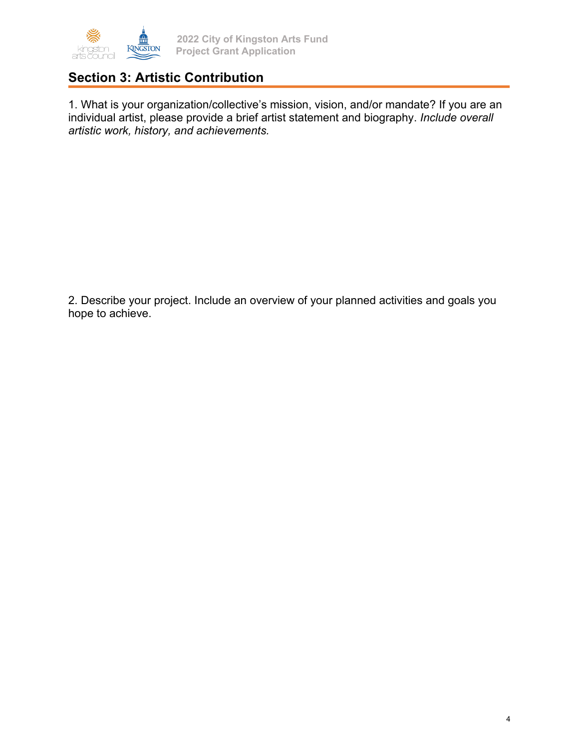

## **Section 3: Artistic Contribution**

1. What is your organization/collective's mission, vision, and/or mandate? If you are an individual artist, please provide a brief artist statement and biography. *Include overall artistic work, history, and achievements.* 

2. Describe your project. Include an overview of your planned activities and goals you hope to achieve.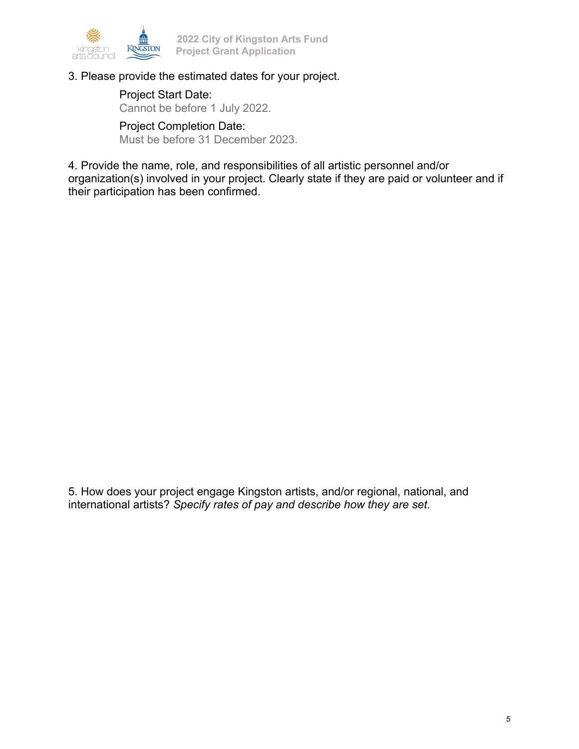

#### 3. Please provide the estimated dates for your project.

Project Start Date: Cannot be before 1 July 2022.

Project Completion Date: Must be before 31 December 2023.

4. Provide the name, role, and responsibilities of all artistic personnel and/or organization(s) involved in your project. Clearly state if they are paid or volunteer and if their participation has been confirmed.

5. How does your project engage Kingston artists, and/or regional, national, and international artists? *Specify rates of pay and describe how they are set.*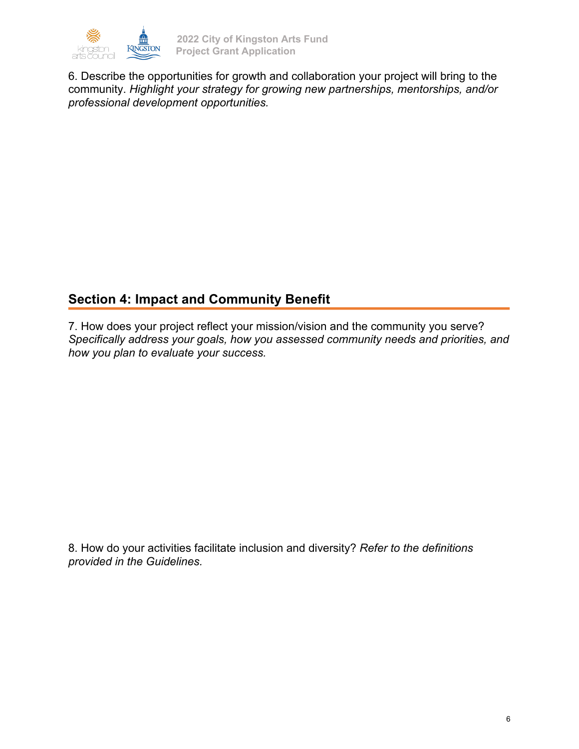

6. Describe the opportunities for growth and collaboration your project will bring to the community. *Highlight your strategy for growing new partnerships, mentorships, and/or professional development opportunities.* 

# **Section 4: Impact and Community Benefit**

7. How does your project reflect your mission/vision and the community you serve? *Specifically address your goals, how you assessed community needs and priorities, and how you plan to evaluate your success.* 

8. How do your activities facilitate inclusion and diversity? *Refer to the definitions provided in the Guidelines.*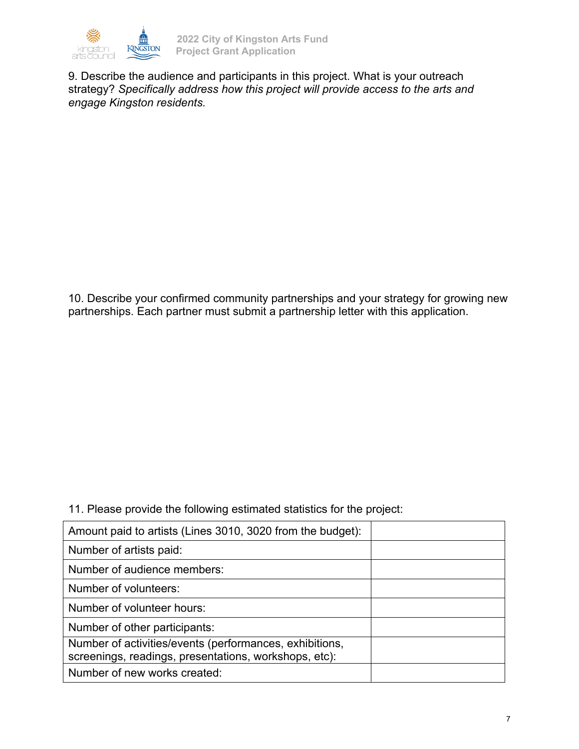

9. Describe the audience and participants in this project. What is your outreach strategy? *Specifically address how this project will provide access to the arts and engage Kingston residents.*

10. Describe your confirmed community partnerships and your strategy for growing new partnerships. Each partner must submit a partnership letter with this application.

11. Please provide the following estimated statistics for the project:

| Amount paid to artists (Lines 3010, 3020 from the budget):                                                       |  |
|------------------------------------------------------------------------------------------------------------------|--|
| Number of artists paid:                                                                                          |  |
| Number of audience members:                                                                                      |  |
| Number of volunteers:                                                                                            |  |
| Number of volunteer hours:                                                                                       |  |
| Number of other participants:                                                                                    |  |
| Number of activities/events (performances, exhibitions,<br>screenings, readings, presentations, workshops, etc): |  |
| Number of new works created:                                                                                     |  |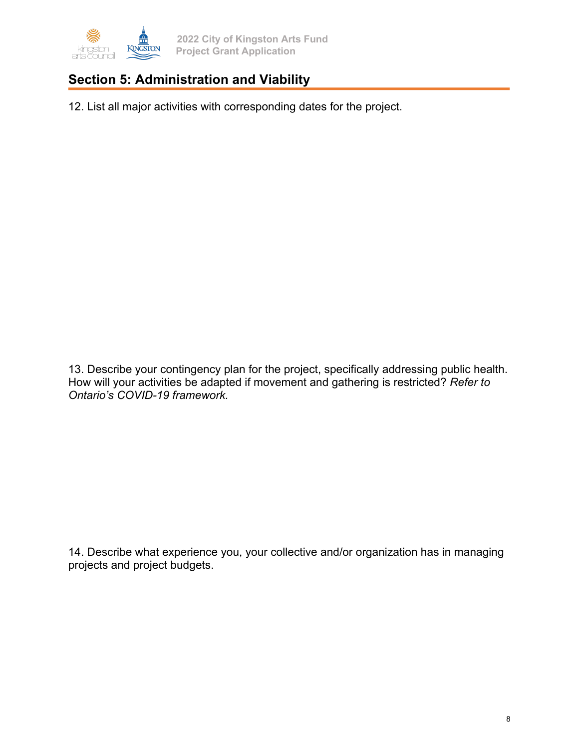

**2022 City of Kingston Arts Fund Project Grant Application**

# **Section 5: Administration and Viability**

12. List all major activities with corresponding dates for the project.

13. Describe your contingency plan for the project, specifically addressing public health. How will your activities be adapted if movement and gathering is restricted? *Refer to Ontario's COVID-19 framework.*

14. Describe what experience you, your collective and/or organization has in managing projects and project budgets.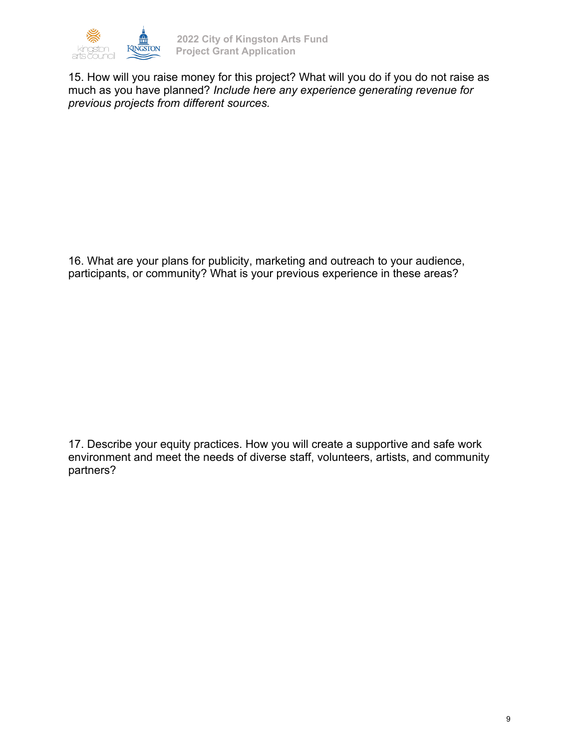

15. How will you raise money for this project? What will you do if you do not raise as much as you have planned? *Include here any experience generating revenue for previous projects from different sources.*

16. What are your plans for publicity, marketing and outreach to your audience, participants, or community? What is your previous experience in these areas?

17. Describe your equity practices. How you will create a supportive and safe work environment and meet the needs of diverse staff, volunteers, artists, and community partners?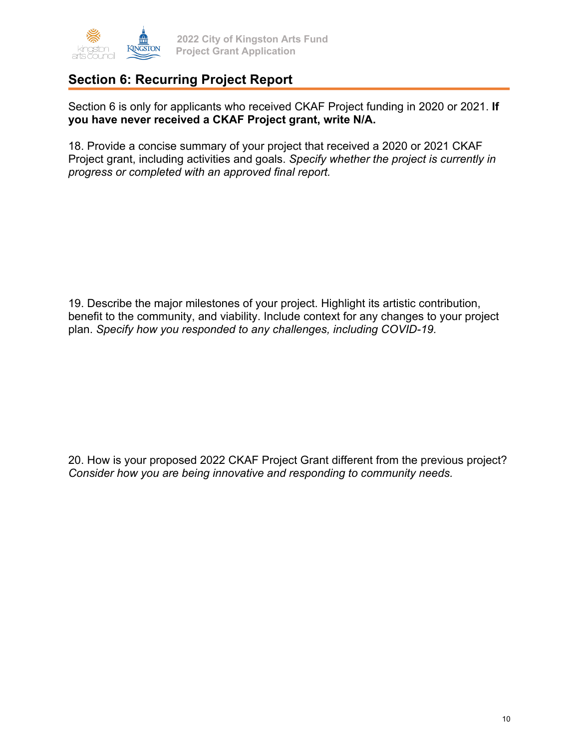

### **Section 6: Recurring Project Report**

Section 6 is only for applicants who received CKAF Project funding in 2020 or 2021. **If you have never received a CKAF Project grant, write N/A.** 

18. Provide a concise summary of your project that received a 2020 or 2021 CKAF Project grant, including activities and goals. *Specify whether the project is currently in progress or completed with an approved final report.*

19. Describe the major milestones of your project. Highlight its artistic contribution, benefit to the community, and viability. Include context for any changes to your project plan. *Specify how you responded to any challenges, including COVID-19.* 

20. How is your proposed 2022 CKAF Project Grant different from the previous project? *Consider how you are being innovative and responding to community needs.*